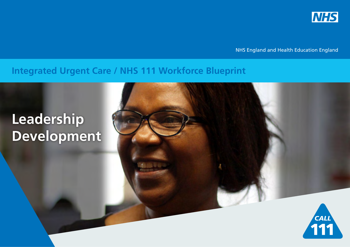

NHS England and Health Education England

# <span id="page-0-0"></span>**Integrated Urgent Care / NHS 111 Workforce Blueprint**

# **Leadership Development**

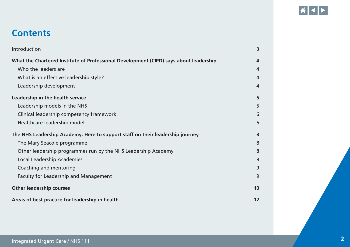

# <span id="page-1-0"></span>**Contents**

| Introduction                                                                          | 3  |
|---------------------------------------------------------------------------------------|----|
| What the Chartered Institute of Professional Development (CIPD) says about leadership | 4  |
| Who the leaders are                                                                   | 4  |
| What is an effective leadership style?                                                | 4  |
| Leadership development                                                                | 4  |
| Leadership in the health service                                                      | 5  |
| Leadership models in the NHS                                                          | 5  |
| Clinical leadership competency framework                                              | 6  |
| Healthcare leadership model                                                           | 6  |
| The NHS Leadership Academy: Here to support staff on their leadership journey         | 8  |
| The Mary Seacole programme                                                            | 8  |
| Other leadership programmes run by the NHS Leadership Academy                         | 8  |
| <b>Local Leadership Academies</b>                                                     | 9  |
| Coaching and mentoring                                                                | 9  |
| <b>Faculty for Leadership and Management</b>                                          | 9  |
| <b>Other leadership courses</b>                                                       | 10 |
| Areas of best practice for leadership in health                                       | 12 |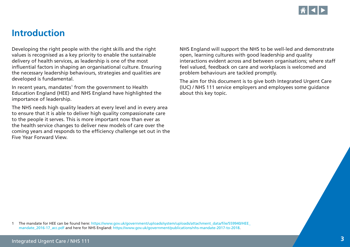

### <span id="page-2-0"></span>**Introduction**

Developing the right people with the right skills and the right values is recognised as a key priority to enable the sustainable delivery of health services, as leadership is one of the most influential factors in shaping an organisational culture. Ensuring the necessary leadership behaviours, strategies and qualities are developed is fundamental.

In recent years, mandates<sup>1</sup> from the government to Health Education England (HEE) and NHS England have highlighted the importance of leadership.

The NHS needs high quality leaders at every level and in every area to ensure that it is able to deliver high quality compassionate care to the people it serves. This is more important now than ever as the health service changes to deliver new models of care over the coming years and responds to the efficiency challenge set out in the Five Year Forward View.

NHS England will support the NHS to be well-led and demonstrate open, learning cultures with good leadership and quality interactions evident across and between organisations; where staff feel valued, feedback on care and workplaces is welcomed and problem behaviours are tackled promptly.

The aim for this document is to give both Integrated Urgent Care (IUC) / NHS 111 service employers and employees some guidance about this key topic.

1 The mandate for HEE can be found here: [https://www.gov.uk/government/uploads/system/uploads/attachment\\_data/file/559940/HEE\\_](https://www.gov.uk/government/uploads/system/uploads/attachment_data/file/559940/HEE_mandate_2016-17_acc.pdf) [mandate\\_2016-17\\_acc.pdf](https://www.gov.uk/government/uploads/system/uploads/attachment_data/file/559940/HEE_mandate_2016-17_acc.pdf) and here for NHS England: <https://www.gov.uk/government/publications/nhs-mandate-2017-to-2018>.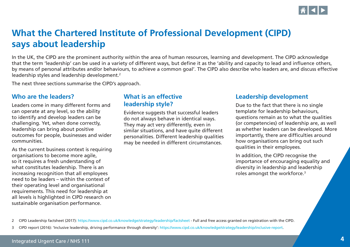

# <span id="page-3-0"></span>**What the Chartered Institute of Professional Development (CIPD) says about leadership**

In the UK, the CIPD are the prominent authority within the area of human resources, learning and development. The CIPD acknowledge that the term 'leadership' can be used in a variety of different ways, but define it as the 'ability and capacity to lead and influence others, by means of personal attributes and/or behaviours, to achieve a common goal'. The CIPD also describe who leaders are, and discuss effective leadership styles and leadership development.<sup>2</sup>

The next three sections summarise the CIPD's approach.

#### **Who are the leaders?**

Leaders come in many different forms and can operate at any level, so the ability to identify and develop leaders can be challenging. Yet, when done correctly, leadership can bring about positive outcomes for people, businesses and wider communities.

As the current business context is requiring organisations to become more agile, so it requires a fresh understanding of what constitutes leadership. There is an increasing recognition that all employees need to be leaders – within the context of their operating level and organisational requirements. This need for leadership at all levels is highlighted in CIPD research on sustainable organisation performance.

#### **What is an effective leadership style?**

Evidence suggests that successful leaders do not always behave in identical ways. They may act very differently, even in similar situations, and have quite different personalities. Different leadership qualities may be needed in different circumstances.

#### **Leadership development**

Due to the fact that there is no single template for leadership behaviours, questions remain as to what the qualities (or competencies) of leadership are, as well as whether leaders can be developed. More importantly, there are difficulties around how organisations can bring out such qualities in their employees.

In addition, the CIPD recognise the importance of encouraging equality and diversity in leadership and leadership roles amongst the workforce.<sup>3</sup>

2 CIPD Leadership factsheet (2017):<https://www.cipd.co.uk/knowledge/strategy/leadership/factsheet> - Full and free access granted on registration with the CIPD.

3 CIPD report (2016): 'Inclusive leadership, driving performance through diversity': [https://www.cipd.co.uk/knowledge/strategy/leadership/inclusive-report.](https://www.cipd.co.uk/knowledge/strategy/leadership/inclusive-report)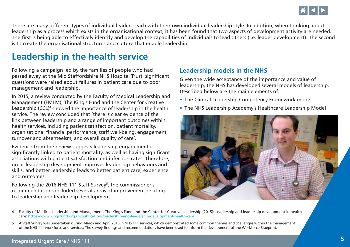

<span id="page-4-0"></span>There are many different types of individual leaders, each with their own individual leadership style. In addition, when thinking about leadership as a process which exists in the organisational context, it has been found that two aspects of development activity are needed. The first is being able to effectively identify and develop the capabilities of individuals to lead others (i.e. leader development). The second is to create the organisational structures and culture that enable leadership.

# **Leadership in the health service**

Following a campaign led by the families of people who had passed away at the Mid Staffordshire NHS Hospital Trust, significant questions were raised about failures in patient care due to poor management and leadership.

In 2015, a review conducted by the Faculty of Medical Leadership and Management (FMLM), The King's Fund and the Center for Creative Leadership (CCL)<sup>4</sup> showed the importance of leadership in the health service. The review concluded that 'there is clear evidence of the link between leadership and a range of important outcomes within health services, including patient satisfaction, patient mortality, organisational financial performance, staff well-being, engagement, turnover and absenteeism, and overall quality of care'.

Evidence from the review suggests leadership engagement is significantly linked to patient mortality, as well as having significant associations with patient satisfaction and infection rates. Therefore, great leadership development improves leadership behaviours and skills, and better leadership leads to better patient care, experience and outcomes.

Following the 2016 NHS 111 Staff Survey<sup>5</sup>, the commissioner's recommendations included several areas of improvement relating to leadership and leadership development.

#### **Leadership models in the NHS**

Given the wide acceptance of the importance and value of leadership, the NHS has developed several models of leadership. Described below are the main elements of:

- The Clinical Leadership Competency Framework model
- The NHS Leadership Academy's Healthcare Leadership Model



<sup>4</sup> Faculty of Medical Leadership and Management, The King's Fund and the Center for Creative Leadership (2015): Leadership and leadership development in health care: <https://www.kingsfund.org.uk/publications/leadership-and-leadership-development-health-care>.

5 A Staff Survey was undertaken during March and April 2016 in NHS 111 services, which demonstrated some common themes and challenges within the management of the NHS 111 workforce and services. The survey findings and recommendations have been used to inform the development of the Workforce Blueprint.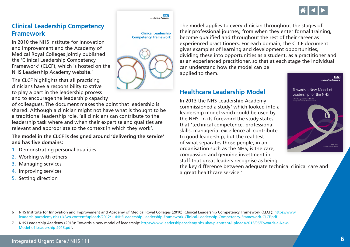

#### <span id="page-5-0"></span>**Clinical Leadership Competency Framework**

In 2010 the NHS Institute for Innovation and Improvement and the Academy of Medical Royal Colleges jointly published the 'Clinical Leadership Competency Framework' (CLCF), which is hosted on the NHS Leadership Academy website.<sup>6</sup>

The CLCF highlights that all practising clinicians have a responsibility to strive to play a part in the leadership process and to encourage the leadership capacity

of colleagues. The document makes the point that leadership is shared. Although a clinician might not have what is thought to be a traditional leadership role, 'all clinicians can contribute to the leadership task where and when their expertise and qualities are relevant and appropriate to the context in which they work'.

#### **The model in the CLCF is designed around 'delivering the service' and has five domains:**

- 1. Demonstrating personal qualities
- 2. Working with others
- 3. Managing services
- 4. Improving services
- 5. Setting direction



Leadership Ac

**NHS** 



The model applies to every clinician throughout the stages of their professional journey, from when they enter formal training, become qualified and throughout the rest of their career as experienced practitioners. For each domain, the CLCF document gives examples of learning and development opportunities, dividing these into opportunities as a student, as a practitioner and as an experienced practitioner, so that at each stage the individual can understand how the model can be applied to them.

### **Healthcare Leadership Model**

In 2013 the NHS Leadership Academy commissioned a study<sup>7</sup> which looked into a leadership model which could be used by the NHS. In its foreword the study states that 'technical competence, professional skills, managerial excellence all contribute to good leadership, but the real test of what separates those people, in an organisation such as the NHS, is the care, compassion and genuine investment in staff that great leaders recognise as being

the key difference between adequate technical clinical care and a great healthcare service.'



**MHS** 

<sup>6</sup> NHS Institute for Innovation and Improvement and Academy of Medical Royal Colleges (2010): Clinical Leadership Competency Framework (CLCF): [https://www.](https://www.leadershipacademy.nhs.uk/wp-content/uploads/2012/11/NHSLeadership-Leadership-Framework-Clinical-Leadership-Competency-Framework-CLCF.pdf) [leadershipacademy.nhs.uk/wp-content/uploads/2012/11/NHSLeadership-Leadership-Framework-Clinical-Leadership-Competency-Framework-CLCF.pdf](https://www.leadershipacademy.nhs.uk/wp-content/uploads/2012/11/NHSLeadership-Leadership-Framework-Clinical-Leadership-Competency-Framework-CLCF.pdf).

<sup>7</sup> NHS Leadership Academy (2013): Towards a new model of leadership: [https://www.leadershipacademy.nhs.uk/wp-content/uploads/2013/05/Towards-a-New-](https://www.leadershipacademy.nhs.uk/wp-content/uploads/2013/05/Towards-a-New-Model-of-Leadership-2013.pdf)[Model-of-Leadership-2013.pdf.](https://www.leadershipacademy.nhs.uk/wp-content/uploads/2013/05/Towards-a-New-Model-of-Leadership-2013.pdf)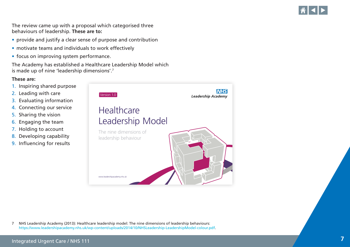<span id="page-6-0"></span>The review came up with a proposal which categorised three behaviours of leadership. **These are to:**

- provide and justify a clear sense of purpose and contribution
- motivate teams and individuals to work effectively
- focus on improving system performance.

The Academy has established a Healthcare Leadership Model which is made up of nine 'leadership dimensions'.7

#### **These are:**

- 1. Inspiring shared purpose
- 2. Leading with care
- 3. Evaluating information
- 4. Connecting our service
- 5. Sharing the vision
- 6. Engaging the team
- 7. Holding to account
- 8. Developing capability
- 9. Influencing for results



7 NHS Leadership Academy (2013): Healthcare leadership model: The nine dimensions of leadership behaviours: [https://www.leadershipacademy.nhs.uk/wp-content/uploads/2014/10/NHSLeadership-LeadershipModel-colour.pdf.](https://www.leadershipacademy.nhs.uk/wp-content/uploads/2014/10/NHSLeadership-LeadershipModel-colour.pdf)



 $\left\| \cdot \right\|$  $\left\| \cdot \right\|$  $\left\| \cdot \right\|$ 

 $\hat{\mathbf{n}}$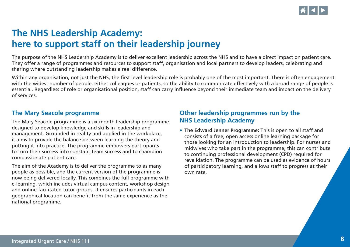

# <span id="page-7-0"></span>**The NHS Leadership Academy: here to support staff on their leadership journey**

The purpose of the NHS Leadership Academy is to deliver excellent leadership across the NHS and to have a direct impact on patient care. They offer a range of programmes and resources to support staff, organisation and local partners to develop leaders, celebrating and sharing where outstanding leadership makes a real difference.

Within any organisation, not just the NHS, the first level leadership role is probably one of the most important. There is often engagement with the widest number of people, either colleagues or patients, so the ability to communicate effectively with a broad range of people is essential. Regardless of role or organisational position, staff can carry influence beyond their immediate team and impact on the delivery of services.

#### **The Mary Seacole programme**

The Mary Seacole programme is a six-month leadership programme designed to develop knowledge and skills in leadership and management. Grounded in reality and applied in the workplace, it aims to provide the balance between learning the theory and putting it into practice. The programme empowers participants to turn their success into constant team success and to champion compassionate patient care.

The aim of the Academy is to deliver the programme to as many people as possible, and the current version of the programme is now being delivered locally. This combines the full programme with e-learning, which includes virtual campus content, workshop design and online facilitated tutor groups. It ensures participants in each geographical location can benefit from the same experience as the national programme.

### **Other leadership programmes run by the NHS Leadership Academy**

**• The Edward Jenner Programme:** This is open to all staff and consists of a free, open access online learning package for those looking for an introduction to leadership. For nurses and midwives who take part in the programme, this can contribute to continuing professional development (CPD) required for revalidation. The programme can be used as evidence of hours of participatory learning, and allows staff to progress at their own rate.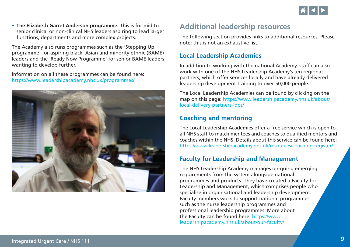

<span id="page-8-0"></span>• The Elizabeth Garret Anderson programme: This is for mid to senior clinical or non-clinical NHS leaders aspiring to lead larger functions, departments and more complex projects.

The Academy also runs programmes such as the 'Stepping Up programme' for aspiring black, Asian and minority ethnic (BAME) leaders and the 'Ready Now Programme' for senior BAME leaders wanting to develop further.

Information on all these programmes can be found here: <https://www.leadershipacademy.nhs.uk/programmes/>



### **Additional leadership resources**

The following section provides links to additional resources. Please note: this is not an exhaustive list.

#### **Local Leadership Academies**

In addition to working with the national Academy, staff can also work with one of the NHS Leadership Academy's ten regional partners, which offer services locally and have already delivered leadership development training to over 50,000 people.

The Local Leadership Academies can be found by clicking on the map on this page: [https://www.leadershipacademy.nhs.uk/about/](https://www.leadershipacademy.nhs.uk/about/local-delivery-partners-ldps/) [local-delivery-partners-ldps/](https://www.leadershipacademy.nhs.uk/about/local-delivery-partners-ldps/)

#### **Coaching and mentoring**

The Local Leadership Academies offer a free service which is open to all NHS staff to match mentees and coaches to qualified mentors and coaches within the NHS. Details about this service can be found here: <https://www.leadershipacademy.nhs.uk/resources/coaching-register/>

### **Faculty for Leadership and Management**

The NHS Leadership Academy manages on-going emerging requirements from the system alongside national programmes and products. They have created a Faculty for Leadership and Management, which comprises people who specialise in organisational and leadership development. Faculty members work to support national programmes such as the nurse leadership programmes and professional leadership programmes. More about the Faculty can be found here: [https://www.](https://www.leadershipacademy.nhs.uk/about/our-faculty/) [leadershipacademy.nhs.uk/about/our-faculty/](https://www.leadershipacademy.nhs.uk/about/our-faculty/)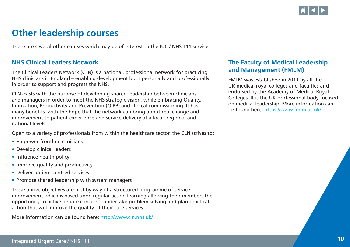

# <span id="page-9-0"></span>**Other leadership courses**

There are several other courses which may be of interest to the IUC / NHS 111 service:

#### **NHS Clinical Leaders Network**

The Clinical Leaders Network (CLN) is a national, professional network for practicing NHS clinicians in England – enabling development both personally and professionally in order to support and progress the NHS.

CLN exists with the purpose of developing shared leadership between clinicians and managers in order to meet the NHS strategic vision, while embracing Quality, Innovation, Productivity and Prevention (QIPP) and clinical commissioning. It has many benefits, with the hope that the network can bring about real change and improvement to patient experience and service delivery at a local, regional and national levels.

Open to a variety of professionals from within the healthcare sector, the CLN strives to:

- Empower frontline clinicians
- Develop clinical leaders
- Influence health policy
- Improve quality and productivity
- Deliver patient centred services
- Promote shared leadership with system managers

These above objectives are met by way of a structured programme of service improvement which is based upon regular action learning allowing their members the opportunity to active debate concerns, undertake problem solving and plan practical action that will improve the quality of their care services.

More information can be found here: <http://www.cln.nhs.uk/>

### **The Faculty of Medical Leadership and Management (FMLM)**

FMLM was established in 2011 by all the UK medical royal colleges and faculties and endorsed by the Academy of Medical Royal Colleges. It is the UK professional body focused on medical leadership. More information can be found here: <https://www.fmlm.ac.uk/>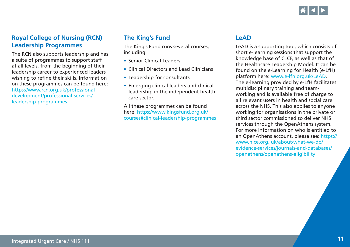

#### <span id="page-10-0"></span>**Royal College of Nursing (RCN) Leadership Programmes**

The RCN also supports leadership and has a suite of programmes to support staff at all levels, from the beginning of their leadership career to experienced leaders wishing to refine their skills. Information on these programmes can be found here: [https://www.rcn.org.uk/professional](https://www.rcn.org.uk/professional-development/professional-services/leadership-programmes)[development/professional-services/](https://www.rcn.org.uk/professional-development/professional-services/leadership-programmes) [leadership-programmes](https://www.rcn.org.uk/professional-development/professional-services/leadership-programmes)

### **The King's Fund**

The King's Fund runs several courses, including:

- Senior Clinical Leaders
- Clinical Directors and Lead Clinicians
- Leadership for consultants
- Emerging clinical leaders and clinical leadership in the independent health care sector.

All these programmes can be found here: [https://www.kingsfund.org.uk/](https://www.kingsfund.org.uk/courses#clinical-leadership-programmes) [courses#clinical-leadership-programmes](https://www.kingsfund.org.uk/courses#clinical-leadership-programmes)

### **LeAD**

LeAD is a supporting tool, which consists of short e-learning sessions that support the knowledge base of CLCF, as well as that of the Healthcare Leadership Model. It can be found on the e-Learning for Health (e-LfH) platform here: [www.e-lfh.org.uk/LeAD.](http://www.e-lfh.org.uk/LeAD) The e-learning provided by e-LfH facilitates multidisciplinary training and teamworking and is available free of charge to all relevant users in health and social care across the NHS. This also applies to anyone working for organisations in the private or third sector commissioned to deliver NHS services through the OpenAthens system. For more information on who is entitled to an OpenAthens account, please see: [https://](https://www.nice.org. uk/about/what-we-do/evidence-services/journals-and-databases/ openathens/openathens-eligibility) [www.nice.org. uk/about/what-we-do/](https://www.nice.org. uk/about/what-we-do/evidence-services/journals-and-databases/ openathens/openathens-eligibility) [evidence-services/journals-and-databases/](https://www.nice.org. uk/about/what-we-do/evidence-services/journals-and-databases/ openathens/openathens-eligibility)  [openathens/openathens-eligibility](https://www.nice.org. uk/about/what-we-do/evidence-services/journals-and-databases/ openathens/openathens-eligibility)